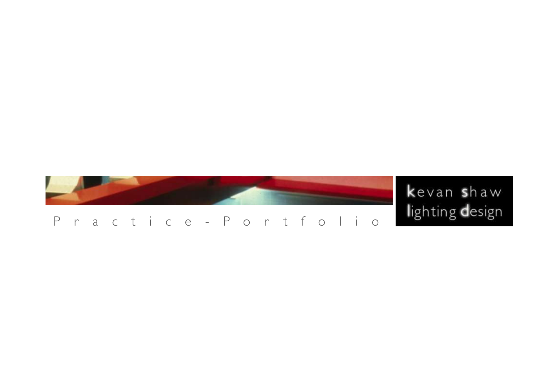

kevan shaw lighting design

# P r a c t i c e - P o r t f o l i o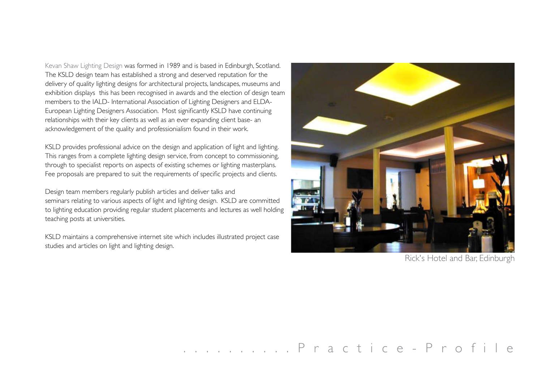Kevan Shaw Lighting Design was formed in 1989 and is based in Edinburgh, Scotland. The KSLD design team has established a strong and deserved reputation for the delivery of quality lighting designs for architectural projects, landscapes, museums and exhibition displays this has been recognised in awards and the election of design team members to the IALD- International Association of Lighting Designers and ELDA-European Lighting Designers Association. Most significantly KSLD have continuing relationships with their key clients as well as an ever expanding client base- an acknowledgement of the quality and professionialism found in their work.

KSLD provides professional advice on the design and application of light and lighting. This ranges from a complete lighting design service, from concept to commissioning, through to specialist reports on aspects of existing schemes or lighting masterplans. Fee proposals are prepared to suit the requirements of specific projects and clients.

Design team members regularly publish articles and deliver talks and seminars relating to various aspects of light and lighting design. KSLD are committed to lighting education providing regular student placements and lectures as well holding teaching posts at universities.

KSLD maintains a comprehensive internet site which includes illustrated project case studies and articles on light and lighting design.



Rick's Hotel and Bar, Edinburgh

### . . . . . . . . . . P r a c t i c e - P r o f i l e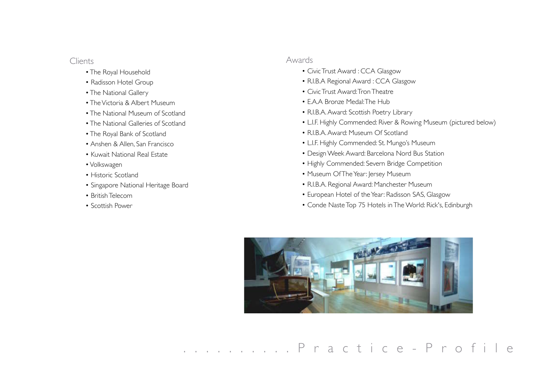### Clients

- The Royal Household
- Radisson Hotel Group
- The National Gallery
- The Victoria & Albert Museum
- The National Museum of Scotland
- The National Galleries of Scotland
- The Royal Bank of Scotland
- Anshen & Allen, San Francisco
- Kuwait National Real Estate
- Volkswagen
- Historic Scotland
- Singapore National Heritage Board
- British Telecom
- Scottish Power

#### Awards

- Civic Trust Award : CCA Glasgow
- R.I.B.A Regional Award : CCA Glasgow
- Civic Trust Award: Tron Theatre
- E.A.A Bronze Medal: The Hub
- R.I.B.A. Award: Scottish Poetry Library
- L.I.F. Highly Commended: River & Rowing Museum (pictured below)
- RI.B.A. Award: Museum Of Scotland
- L.I.F. Highly Commended: St. Mungo's Museum
- Design Week Award: Barcelona Nord Bus Station
- Highly Commended: Severn Bridge Competition
- Museum Of The Year: Jersey Museum
- R.I.B.A. Regional Award: Manchester Museum
- European Hotel of the Year: Radisson SAS, Glasgow
- Conde Naste Top 75 Hotels in The World: Rick's, Edinburgh

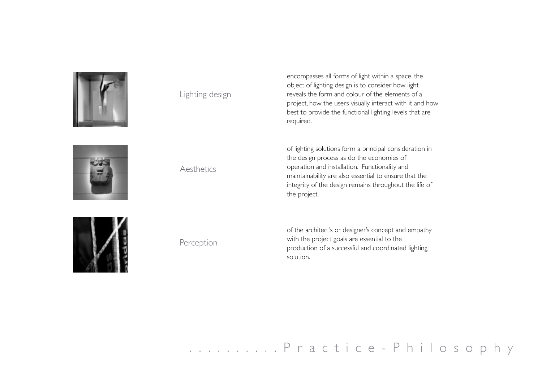

Lighting design

encompasses all forms of light within a space. the object of lighting design is to consider how light reveals the form and colour of the elements of a project, how the users visually interact with it and how best to provide the functional lighting levels that are required.

of lighting solutions form a principal consideration in the design process as do the economies of operation and installation. Functionality and maintainability are also essential to ensure that the integrity of the design remains throughout the life of the project.



Perception

Aesthetics

of the architect's or designer's concept and empathy with the project goals are essential to the production of a successful and coordinated lighting solution.

# . . . . . . . . . . P r a c t i c e - P h i l o s o p h y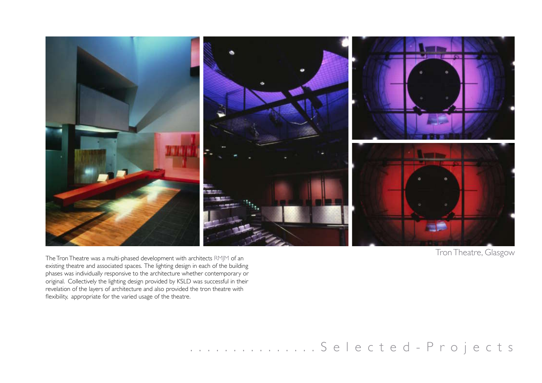

Tron Theatre, Glasgow The Tron Theatre was a multi-phased development with architects RMJM of an existing theatre and associated spaces. The lighting design in each of the building phases was individually responsive to the architecture whether contemporary or original. Collectively the lighting design provided by KSLD was successful in their revelation of the layers of architecture and also provided the tron theatre with flexibility, appropriate for the varied usage of the theatre.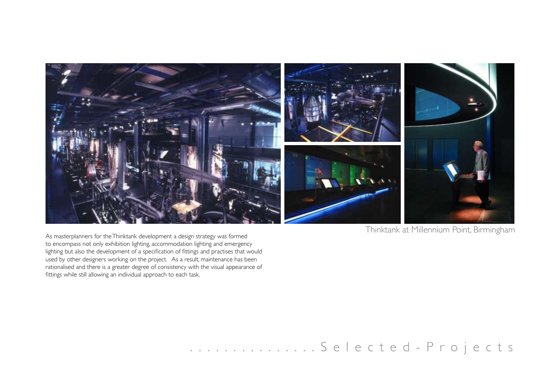

As masterplanners for the Thinktank development a design strategy was formed<br>As masterplanners for the Thinktank development a design strategy was formed to encompass not only exhibition lighting, accommodation lighting and emergency lighting but also the development of a specification of fittings and practises that would used by other designers working on the project. As a result, maintenance has been rationalised and there is a greater degree of consistency with the visual appearance of fittings while still allowing an individual approach to each task.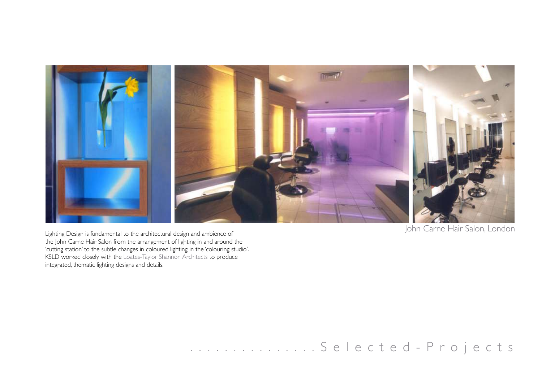

John Carne Hair Salon, London Lighting Design is fundamental to the architectural design and ambience of the John Carne Hair Salon from the arrangement of lighting in and around the 'cutting station' to the subtle changes in coloured lighting in the 'colouring studio'. KSLD worked closely with the Loates-Taylor Shannon Architects to produce integrated, thematic lighting designs and details.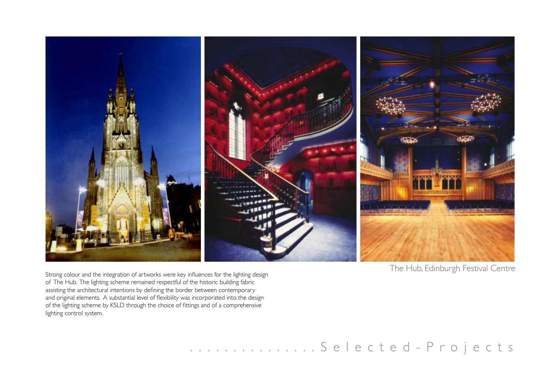

The Hub, Edinburgh Festival Centre

Strong colour and the integration of artworks were key influences for the lighting design of The Hub. The lighting scheme remained respectful of the historic building fabric assisting the architectural intentions by defining the border between contemporary and original elements. A substantial level of flexibility was incorporated into the design of the lighting scheme by KSLD through the choice of fittings and of a comprehensive lighting control system.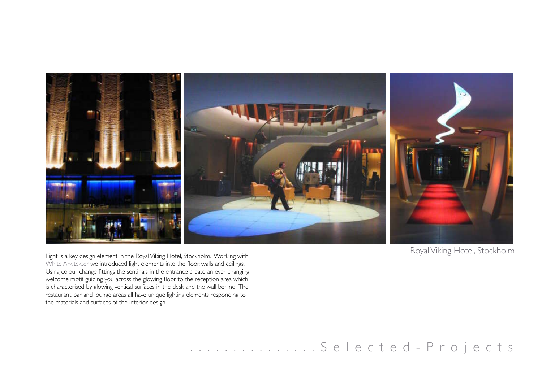

Royal Viking Hotel, Stockholm

Light is a key design element in the Royal Viking Hotel, Stockholm. Working with White Arkitekter we introduced light elements into the floor, walls and ceilings. Using colour change fittings the sentinals in the entrance create an ever changing welcome motif guiding you across the glowing floor to the reception area which is characterised by glowing vertical surfaces in the desk and the wall behind. The restaurant, bar and lounge areas all have unique lighting elements responding to the materials and surfaces of the interior design.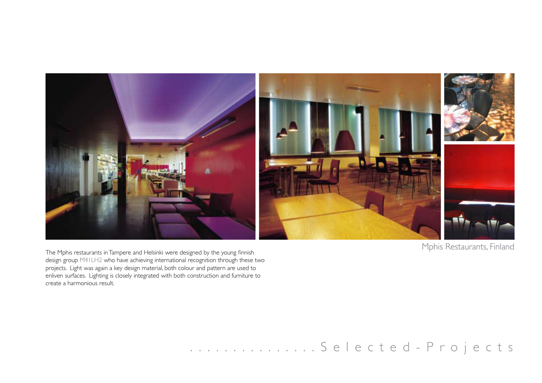

Mphis Restaurants, Finland

The Mphis restaurants in Tampere and Helsinki were designed by the young finnish design group M41LH2 who have achieving international recognition through these two projects. Light was again a key design material, both colour and pattern are used to enliven surfaces. Lighting is closely integrated with both construction and furniture to create a harmonious result.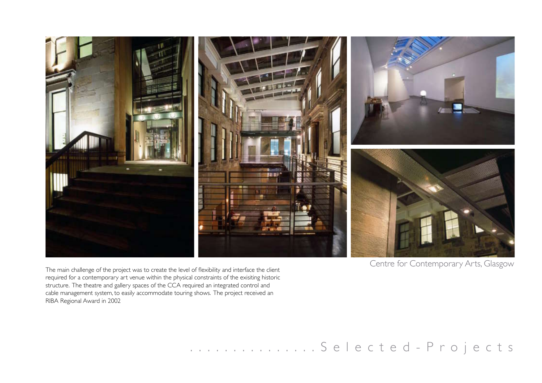![](_page_10_Picture_0.jpeg)

Centre for Contemporary Arts, Glasgow The main challenge of the project was to create the level of flexibility and interface the client required for a contemporary art venue within the physical constraints of the exisiting historic structure. The theatre and gallery spaces of the CCA required an integrated control and cable management system, to easily accommodate touring shows. The project received an RIBA Regional Award in 2002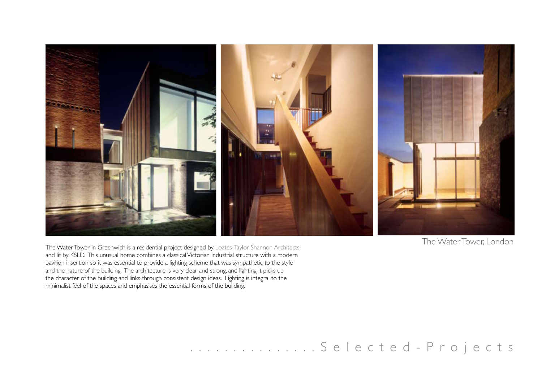![](_page_11_Picture_0.jpeg)

The Water Tower, London

The Water Tower in Greenwich is a residential project designed by Loates-Taylor Shannon Architects and lit by KSLD. This unusual home combines a classical Victorian industrial structure with a modern pavilion insertion so it was essential to provide a lighting scheme that was sympathetic to the style and the nature of the building. The architecture is very clear and strong, and lighting it picks up the character of the building and links through consistent design ideas. Lighting is integral to the minimalist feel of the spaces and emphasises the essential forms of the building.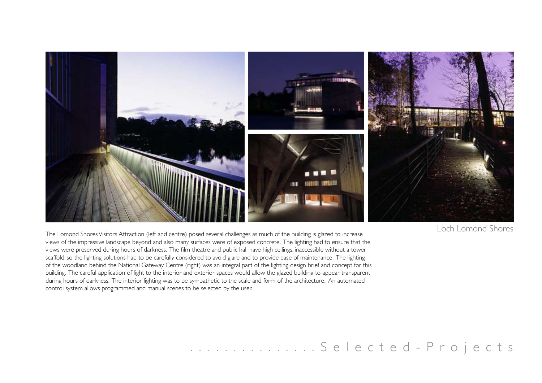![](_page_12_Picture_0.jpeg)

Loch Lomond Shores

The Lomond Shores Visitors Attraction (left and centre) posed several challenges as much of the building is glazed to increase views of the impressive landscape beyond and also many surfaces were of exposed concrete. The lighting had to ensure that the views were preserved during hours of darkness. The film theatre and public hall have high ceilings, inaccessible without a tower scaffold, so the lighting solutions had to be carefully considered to avoid glare and to provide ease of maintenance. The lighting of the woodland behind the National Gateway Centre (right) was an integral part of the lighting design brief and concept for this building. The careful application of light to the interior and exterior spaces would allow the glazed building to appear transparent during hours of darkness. The interior lighting was to be sympathetic to the scale and form of the architecture. An automated control system allows programmed and manual scenes to be selected by the user.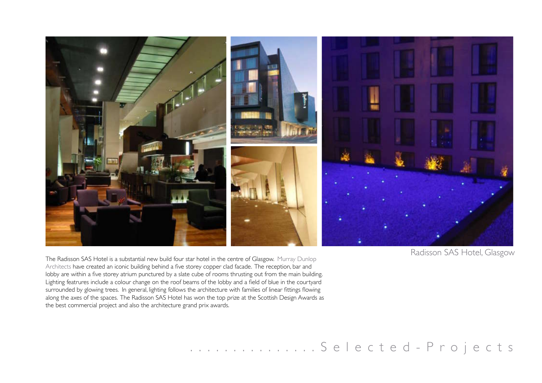![](_page_13_Picture_0.jpeg)

The Radisson SAS Hotel is a substantial new build four star hotel in the centre of Glasgow. Murray Dunlop Radisson SAS Hotel, Glasgow Architects have created an iconic building behind a five storey copper clad facade. The reception, bar and lobby are within a five storey atrium punctured by a slate cube of rooms thrusting out from the main building. Lighting featrures include a colour change on the roof beams of the lobby and a field of blue in the courtyard surrounded by glowing trees. In general, lighting follows the architecture with families of linear fittings flowing along the axes of the spaces. The Radisson SAS Hotel has won the top prize at the Scottish Design Awards as the best commercial project and also the architecture grand prix awards.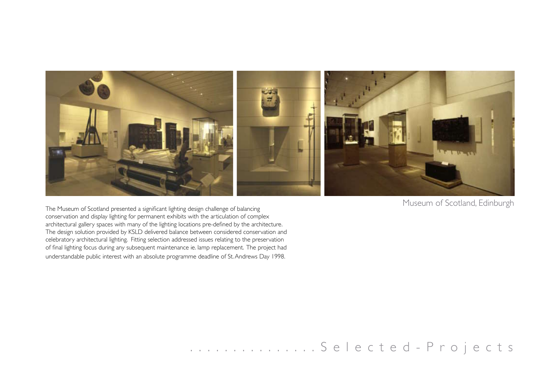![](_page_14_Picture_0.jpeg)

The Museum of Scotland presented a significant lighting design challenge of balancing The Museum of Scotland, Edinburgh conservation and display lighting for permanent exhibits with the articulation of complex architectural gallery spaces with many of the lighting locations pre-defined by the architecture. The design solution provided by KSLD delivered balance between considered conservation and celebratory architectural lighting. Fitting selection addressed issues relating to the preservation of final lighting focus during any subsequent maintenance ie. lamp replacement. The project had understandable public interest with an absolute programme deadline of St. Andrews Day 1998.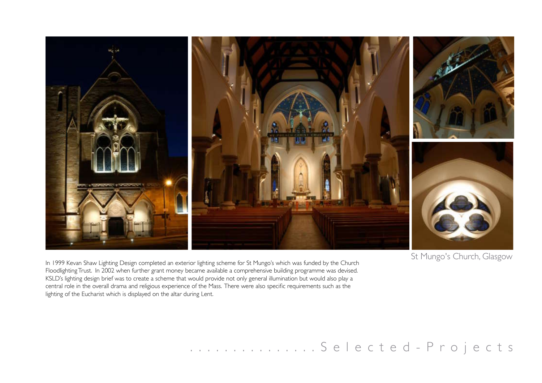![](_page_15_Picture_0.jpeg)

In 1999 Kevan Shaw Lighting Design completed an exterior lighting scheme for St Mungo's which was funded by the Church Floodlighting Trust. In 2002 when further grant money became available a comprehensive building programme was devised. KSLD's lighting design brief was to create a scheme that would provide not only general illumination but would also play a central role in the overall drama and religious experience of the Mass. There were also specific requirements such as the lighting of the Eucharist which is displayed on the altar during Lent.

St Mungo's Church, Glasgow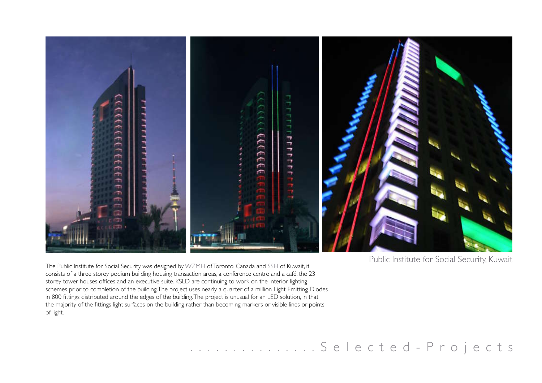![](_page_16_Picture_0.jpeg)

Public Institute for Social Security, Kuwait

The Public Institute for Social Security was designed by WZMH of Toronto, Canada and SSH of Kuwait, it consists of a three storey podium building housing transaction areas, a conference centre and a café. the 23 storey tower houses offices and an executive suite. KSLD are continuing to work on the interior lighting schemes prior to completion of the building.The project uses nearly a quarter of a million Light Emitting Diodes in 800 fittings distributed around the edges of the building. The project is unusual for an LED solution, in that the majority of the fittings light surfaces on the building rather than becoming markers or visible lines or points of light.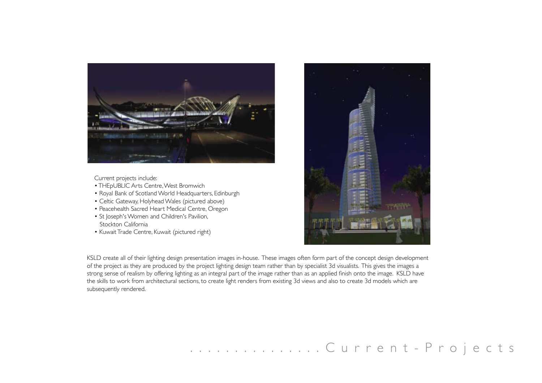![](_page_17_Picture_0.jpeg)

Current projects include:

- THEpUBLIC Arts Centre, West Bromwich
- Royal Bank of Scotland World Headquarters, Edinburgh
- Celtic Gateway, Holyhead Wales (pictured above)
- Peacehealth Sacred Heart Medical Centre, Oregon
- St Joseph's Women and Children's Pavilion, Stockton California
- Kuwait Trade Centre, Kuwait (pictured right)

![](_page_17_Picture_8.jpeg)

KSLD create all of their lighting design presentation images in-house. These images often form part of the concept design development of the project as they are produced by the project lighting design team rather than by specialist 3d visualists. This gives the images a strong sense of realism by offering lighting as an integral part of the image rather than as an applied finish onto the image. KSLD have the skills to work from architectural sections, to create light renders from existing 3d views and also to create 3d models which are subsequently rendered.

# . . . . . . . . . . . . . . . C u r r e n t - P r o j e c t s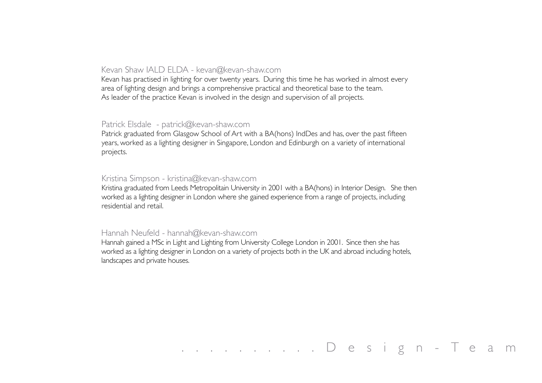#### Kevan Shaw IALD ELDA - kevan@kevan-shaw.com

Kevan has practised in lighting for over twenty years. During this time he has worked in almost every area of lighting design and brings a comprehensive practical and theoretical base to the team. As leader of the practice Kevan is involved in the design and supervision of all projects.

#### Patrick Elsdale - patrick@kevan-shaw.com

Patrick graduated from Glasgow School of Art with a BA(hons) IndDes and has, over the past fifteen years, worked as a lighting designer in Singapore, London and Edinburgh on a variety of international projects.

#### Kristina Simpson - kristina@kevan-shaw.com

Kristina graduated from Leeds Metropolitain University in 2001 with a BA(hons) in Interior Design. She then worked as a lighting designer in London where she gained experience from a range of projects, including residential and retail.

#### Hannah Neufeld - hannah@kevan-shaw.com

Hannah gained a MSc in Light and Lighting from University College London in 2001. Since then she has worked as a lighting designer in London on a variety of projects both in the UK and abroad including hotels, landscapes and private houses.

### . . . . . . . . . . D e s i g n - T e a m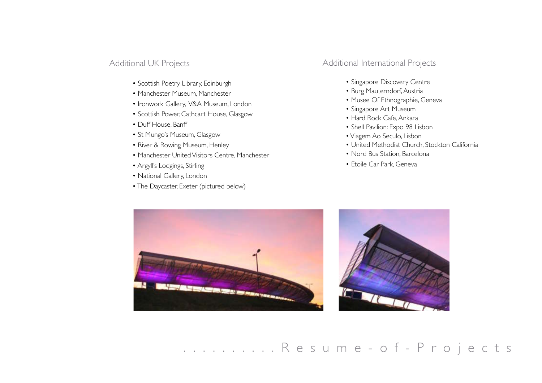#### Additional UK Projects

- Scottish Poetry Library, Edinburgh
- Manchester Museum, Manchester
- Ironwork Gallery, V&A Museum, London
- Scottish Power, Cathcart House, Glasgow
- Duff House, Banff
- St Mungo's Museum, Glasgow
- River & Rowing Museum, Henley
- Manchester United Visitors Centre, Manchester
- Argyll's Lodgings, Stirling
- National Gallery, London
- The Daycaster, Exeter (pictured below)

#### Additional International Projects

- Singapore Discovery Centre
- Burg Mauterndorf, Austria
- Musee Of Ethnographie, Geneva
- Singapore Art Museum
- Hard Rock Cafe, Ankara
- Shell Pavilion: Expo 98 Lisbon
- Viagem Ao Seculo, Lisbon
- United Methodist Church, Stockton California
- Nord Bus Station, Barcelona
- Etoile Car Park, Geneva

![](_page_19_Picture_23.jpeg)

![](_page_19_Picture_24.jpeg)

. . . . . . . . . . R e s u m e - o f - P r o j e c t s